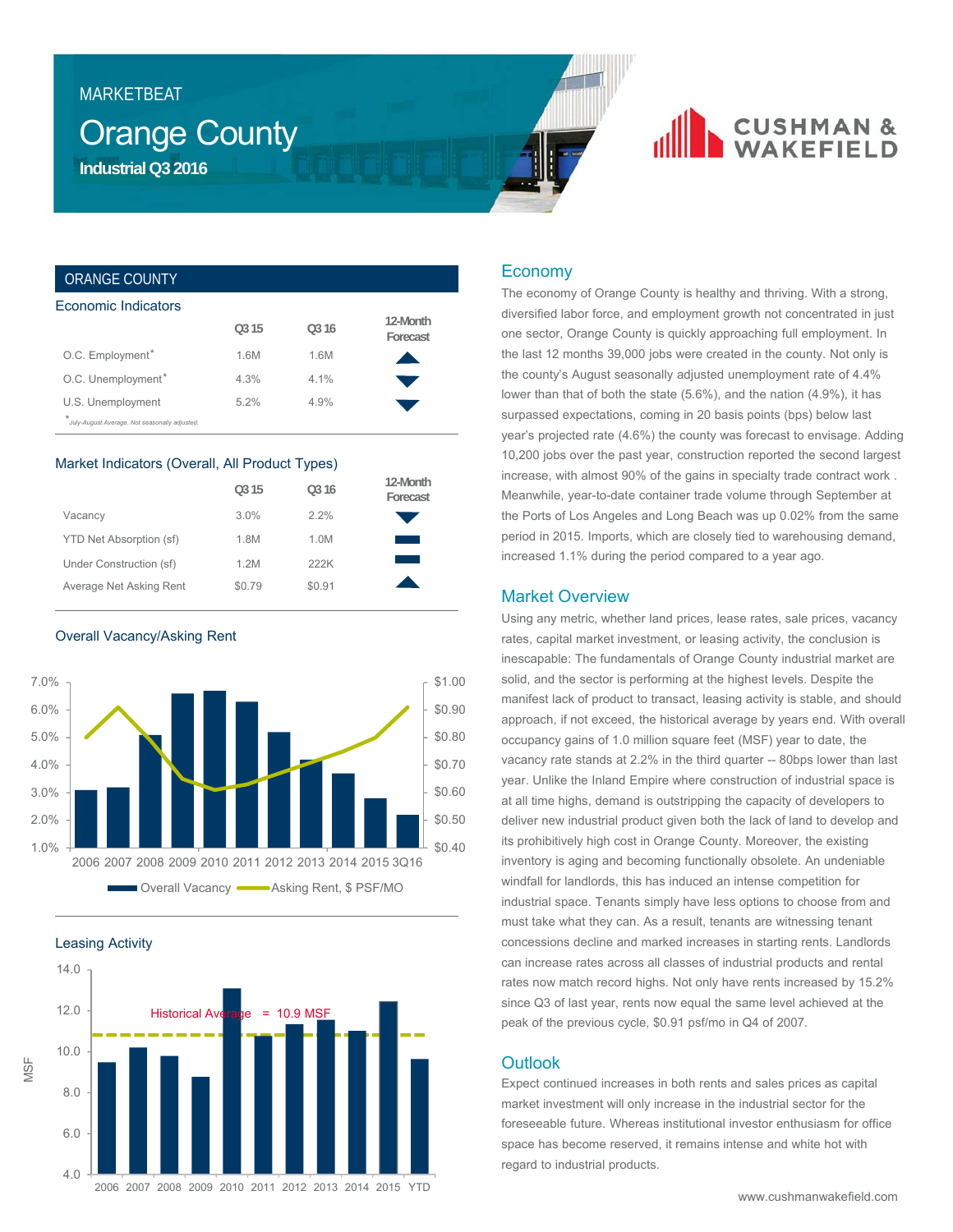# MARKETBEAT

# **Orange County Industrial Q3 2016**

# **CUSHMAN &**<br>WAKEFIELD

# ORANGE COUNTY

| Economic Indicators                                                           |                   |         |                      |
|-------------------------------------------------------------------------------|-------------------|---------|----------------------|
|                                                                               | O <sub>3</sub> 15 | 0.316   | 12-Month<br>Forecast |
| O.C. Employment*                                                              | 1.6M              | 1.6M    |                      |
| O.C. Unemployment*                                                            | 4.3%              | $4.1\%$ |                      |
| U.S. Unemployment<br>$\star$<br>July-August Average. Not seasonally adjusted. | 5.2%              | 4.9%    |                      |

### Market Indicators (Overall, All Product Types)

|                         | O <sub>3</sub> 15 | O <sub>3</sub> 16 | 12-Month<br>Forecast |
|-------------------------|-------------------|-------------------|----------------------|
| Vacancy                 | 3.0%              | 2.2%              |                      |
| YTD Net Absorption (sf) | 1.8M              | 1.0M              |                      |
| Under Construction (sf) | 1.2M              | 222K              |                      |
| Average Net Asking Rent | \$0.79            | \$0.91            |                      |

Overall Vacancy/Asking Rent



Leasing Activity



# Economy

The economy of Orange County is healthy and thriving. With a strong, diversified labor force, and employment growth not concentrated in just one sector, Orange County is quickly approaching full employment. In the last 12 months 39,000 jobs were created in the county. Not only is the county's August seasonally adjusted unemployment rate of 4.4% lower than that of both the state (5.6%), and the nation (4.9%), it has surpassed expectations, coming in 20 basis points (bps) below last year's projected rate (4.6%) the county was forecast to envisage. Adding 10,200 jobs over the past year, construction reported the second largest increase, with almost 90% of the gains in specialty trade contract work . Meanwhile, year-to-date container trade volume through September at the Ports of Los Angeles and Long Beach was up 0.02% from the same period in 2015. Imports, which are closely tied to warehousing demand, increased 1.1% during the period compared to a year ago.

## Market Overview

Using any metric, whether land prices, lease rates, sale prices, vacancy rates, capital market investment, or leasing activity, the conclusion is inescapable: The fundamentals of Orange County industrial market are solid, and the sector is performing at the highest levels. Despite the manifest lack of product to transact, leasing activity is stable, and should approach, if not exceed, the historical average by years end. With overall occupancy gains of 1.0 million square feet (MSF) year to date, the vacancy rate stands at 2.2% in the third quarter -- 80bps lower than last year. Unlike the Inland Empire where construction of industrial space is at all time highs, demand is outstripping the capacity of developers to deliver new industrial product given both the lack of land to develop and its prohibitively high cost in Orange County. Moreover, the existing inventory is aging and becoming functionally obsolete. An undeniable windfall for landlords, this has induced an intense competition for industrial space. Tenants simply have less options to choose from and must take what they can. As a result, tenants are witnessing tenant concessions decline and marked increases in starting rents. Landlords can increase rates across all classes of industrial products and rental rates now match record highs. Not only have rents increased by 15.2% since Q3 of last year, rents now equal the same level achieved at the peak of the previous cycle, \$0.91 psf/mo in Q4 of 2007.

### **Outlook**

Expect continued increases in both rents and sales prices as capital market investment will only increase in the industrial sector for the foreseeable future. Whereas institutional investor enthusiasm for office space has become reserved, it remains intense and white hot with regard to industrial products.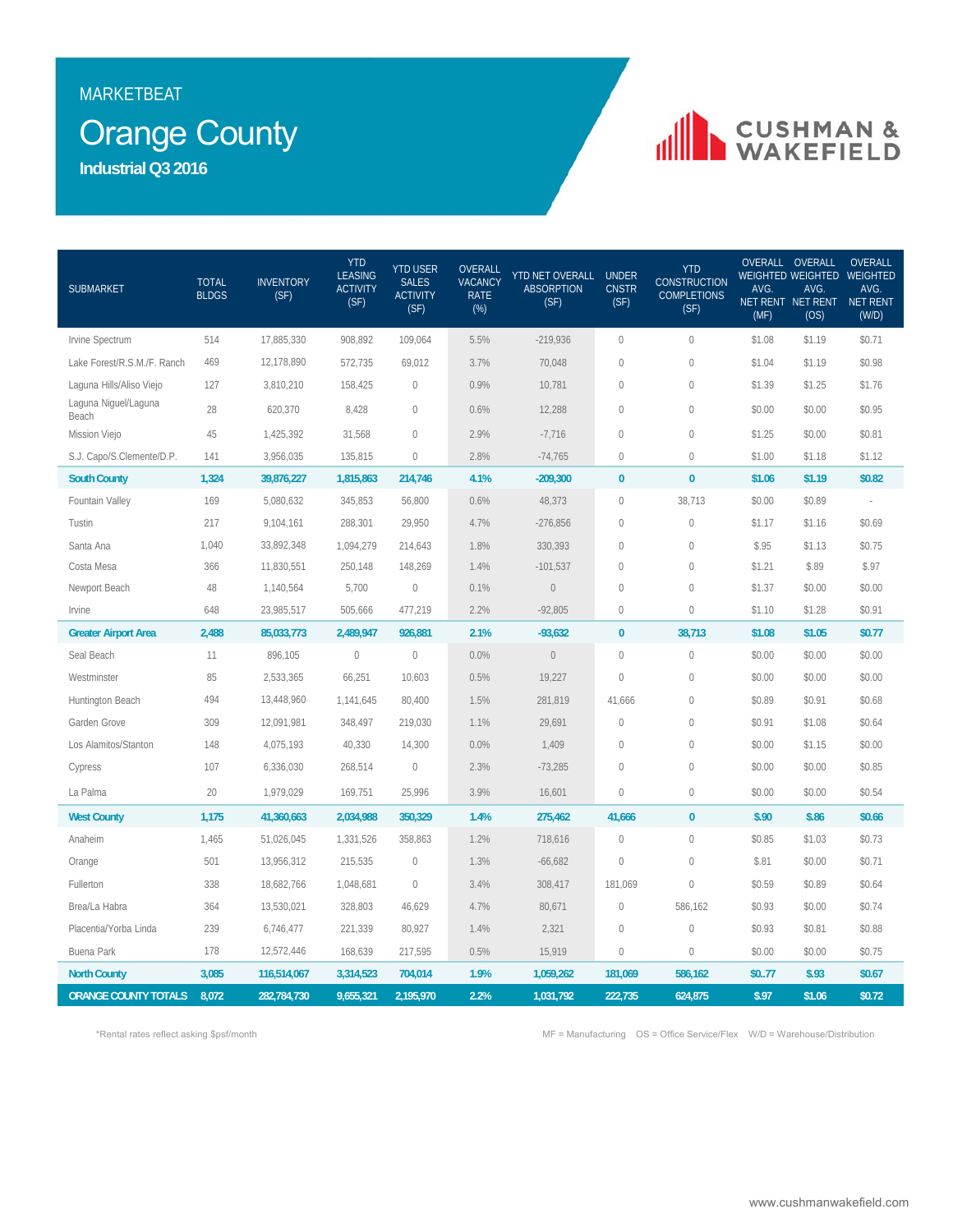# MARKETBEAT

# Orange County

**Industrial Q3 2016**

# **IN CUSHMAN &**

| <b>SUBMARKET</b>              | <b>TOTAL</b><br><b>BLDGS</b> | <b>INVENTORY</b><br>(SF) | <b>YTD</b><br><b>LEASING</b><br><b>ACTIVITY</b><br>(SF) | <b>YTD USER</b><br><b>SALES</b><br><b>ACTIVITY</b><br>(SF) | OVERALL<br><b>VACANCY</b><br><b>RATE</b><br>$(\%)$ | YTD NET OVERALL<br><b>ABSORPTION</b><br>(SF) | <b>UNDER</b><br><b>CNSTR</b><br>(SF) | <b>YTD</b><br><b>CONSTRUCTION</b><br><b>COMPLETIONS</b><br>(SF) | AVG.<br>(MF) | OVERALL OVERALL<br>AVG.<br>NET RENT NET RENT NET RENT<br>(OS) | <b>OVERALL</b><br>WEIGHTED WEIGHTED WEIGHTED<br>AVG.<br>(W/D) |
|-------------------------------|------------------------------|--------------------------|---------------------------------------------------------|------------------------------------------------------------|----------------------------------------------------|----------------------------------------------|--------------------------------------|-----------------------------------------------------------------|--------------|---------------------------------------------------------------|---------------------------------------------------------------|
| Irvine Spectrum               | 514                          | 17,885,330               | 908,892                                                 | 109,064                                                    | 5.5%                                               | $-219,936$                                   | $\mathbf{0}$                         | $\mathbf 0$                                                     | \$1.08       | \$1.19                                                        | \$0.71                                                        |
| Lake Forest/R.S.M./F. Ranch   | 469                          | 12,178,890               | 572,735                                                 | 69,012                                                     | 3.7%                                               | 70,048                                       | $\sqrt{2}$                           | $\mathbb O$                                                     | \$1.04       | \$1.19                                                        | \$0.98                                                        |
| Laguna Hills/Aliso Viejo      | 127                          | 3,810,210                | 158,425                                                 | $\mathbf 0$                                                | 0.9%                                               | 10,781                                       | $\sqrt{2}$                           | $\mathbb O$                                                     | \$1.39       | \$1.25                                                        | \$1.76                                                        |
| Laguna Niguel/Laguna<br>Beach | 28                           | 620,370                  | 8,428                                                   | $\mathbf{0}$                                               | 0.6%                                               | 12,288                                       | $\sqrt{2}$                           | $\mathbb O$                                                     | \$0.00       | \$0.00                                                        | \$0.95                                                        |
| Mission Viejo                 | 45                           | 1,425,392                | 31,568                                                  | $\overline{0}$                                             | 2.9%                                               | $-7,716$                                     | $\mathbf{0}$                         | $\mathbf 0$                                                     | \$1.25       | \$0.00                                                        | \$0.81                                                        |
| S.J. Capo/S.Clemente/D.P.     | 141                          | 3,956,035                | 135,815                                                 | $\mathbf{0}$                                               | 2.8%                                               | $-74,765$                                    | $\mathbf 0$                          | $\mathbb O$                                                     | \$1.00       | \$1.18                                                        | \$1.12                                                        |
| <b>South County</b>           | 1,324                        | 39,876,227               | 1,815,863                                               | 214,746                                                    | 4.1%                                               | $-209,300$                                   | $\bf{0}$                             | $\bf{0}$                                                        | \$1.06       | \$1.19                                                        | \$0.82                                                        |
| Fountain Valley               | 169                          | 5,080,632                | 345,853                                                 | 56,800                                                     | 0.6%                                               | 48,373                                       | $\mathbf{0}$                         | 38,713                                                          | \$0.00       | \$0.89                                                        |                                                               |
| Tustin                        | 217                          | 9,104,161                | 288,301                                                 | 29,950                                                     | 4.7%                                               | $-276,856$                                   | $\mathbf{0}$                         | $\mathbb O$                                                     | \$1.17       | \$1.16                                                        | \$0.69                                                        |
| Santa Ana                     | 1,040                        | 33,892,348               | 1,094,279                                               | 214,643                                                    | 1.8%                                               | 330,393                                      | $\mathbf{0}$                         | $\mathbf 0$                                                     | \$.95        | \$1.13                                                        | \$0.75                                                        |
| Costa Mesa                    | 366                          | 11,830,551               | 250,148                                                 | 148,269                                                    | 1.4%                                               | $-101,537$                                   | $\sqrt{2}$                           | $\mathbf 0$                                                     | \$1.21       | \$.89                                                         | \$.97                                                         |
| Newport Beach                 | 48                           | 1,140,564                | 5,700                                                   | $\mathbf 0$                                                | 0.1%                                               | $\mathbb O$                                  | $\mathbf{0}$                         | $\mathbf{0}$                                                    | \$1.37       | \$0.00                                                        | \$0.00                                                        |
| Irvine                        | 648                          | 23,985,517               | 505,666                                                 | 477,219                                                    | 2.2%                                               | $-92,805$                                    | $\mathbf{0}$                         | $\Omega$                                                        | \$1.10       | \$1.28                                                        | \$0.91                                                        |
| <b>Greater Airport Area</b>   | 2,488                        | 85,033,773               | 2,489,947                                               | 926,881                                                    | 2.1%                                               | $-93,632$                                    | $\bf{0}$                             | 38,713                                                          | \$1.08       | \$1.05                                                        | \$0.77                                                        |
| Seal Beach                    | 11                           | 896,105                  | $\mathbb O$                                             | $\mathbb O$                                                | 0.0%                                               | $\mathbb O$                                  | $\mathbf{0}$                         | $\mathbb O$                                                     | \$0.00       | \$0.00                                                        | \$0.00                                                        |
| Westminster                   | 85                           | 2,533,365                | 66,251                                                  | 10,603                                                     | 0.5%                                               | 19,227                                       | $\mathbf 0$                          | 0                                                               | \$0.00       | \$0.00                                                        | \$0.00                                                        |
| Huntington Beach              | 494                          | 13,448,960               | 1,141,645                                               | 80,400                                                     | 1.5%                                               | 281,819                                      | 41,666                               | $\mathbf 0$                                                     | \$0.89       | \$0.91                                                        | \$0.68                                                        |
| Garden Grove                  | 309                          | 12,091,981               | 348,497                                                 | 219,030                                                    | 1.1%                                               | 29,691                                       | $\sqrt{2}$                           | 0                                                               | \$0.91       | \$1.08                                                        | \$0.64                                                        |
| Los Alamitos/Stanton          | 148                          | 4,075,193                | 40,330                                                  | 14,300                                                     | 0.0%                                               | 1,409                                        | $\mathbf{0}$                         | $\mathbb O$                                                     | \$0.00       | \$1.15                                                        | \$0.00                                                        |
| Cypress                       | 107                          | 6,336,030                | 268,514                                                 | $\overline{0}$                                             | 2.3%                                               | $-73,285$                                    | $\overline{0}$                       | $\mathbf{0}$                                                    | \$0.00       | \$0.00                                                        | \$0.85                                                        |
| La Palma                      | 20                           | 1,979,029                | 169,751                                                 | 25,996                                                     | 3.9%                                               | 16,601                                       | $\mathbf{0}$                         | $\mathbf 0$                                                     | \$0.00       | \$0.00                                                        | \$0.54                                                        |
| <b>West County</b>            | 1,175                        | 41,360,663               | 2,034,988                                               | 350,329                                                    | 1.4%                                               | 275,462                                      | 41,666                               | $\pmb{0}$                                                       | \$.90        | \$.86                                                         | \$0.66                                                        |
| Anaheim                       | 1,465                        | 51,026,045               | 1,331,526                                               | 358,863                                                    | 1.2%                                               | 718,616                                      | $\mathbf{0}$                         | $\mathbf{0}$                                                    | \$0.85       | \$1.03                                                        | \$0.73                                                        |
| Orange                        | 501                          | 13,956,312               | 215,535                                                 | $\mathbf 0$                                                | 1.3%                                               | $-66,682$                                    | $\mathbf 0$                          | $\mathbb O$                                                     | \$.81        | \$0.00                                                        | \$0.71                                                        |
| Fullerton                     | 338                          | 18,682,766               | 1,048,681                                               | $\mathbf{0}$                                               | 3.4%                                               | 308,417                                      | 181,069                              | $\mathbf{0}$                                                    | \$0.59       | \$0.89                                                        | \$0.64                                                        |
| Brea/La Habra                 | 364                          | 13,530,021               | 328,803                                                 | 46,629                                                     | 4.7%                                               | 80,671                                       | $\bigcirc$                           | 586,162                                                         | \$0.93       | \$0.00                                                        | \$0.74                                                        |
| Placentia/Yorba Linda         | 239                          | 6,746,477                | 221,339                                                 | 80,927                                                     | 1.4%                                               | 2,321                                        | $\mathbf 0$                          | $\mathbf 0$                                                     | \$0.93       | \$0.81                                                        | \$0.88                                                        |
| <b>Buena Park</b>             | 178                          | 12,572,446               | 168,639                                                 | 217,595                                                    | 0.5%                                               | 15,919                                       | $\mathbf 0$                          | $\mathbf 0$                                                     | \$0.00       | \$0.00                                                        | \$0.75                                                        |
| <b>North County</b>           | 3,085                        | 116,514,067              | 3,314,523                                               | 704,014                                                    | 1.9%                                               | 1,059,262                                    | 181,069                              | 586,162                                                         | \$077        | \$.93                                                         | \$0.67                                                        |
| <b>ORANGE COUNTY TOTALS</b>   | 8,072                        | 282,784,730              | 9,655,321                                               | 2,195,970                                                  | 2.2%                                               | 1,031,792                                    | 222,735                              | 624,875                                                         | \$.97        | \$1.06                                                        | \$0.72                                                        |

\*Rental rates reflect asking \$psf/month MF = Manufacturing OS = Office Service/Flex W/D = Warehouse/Distribution